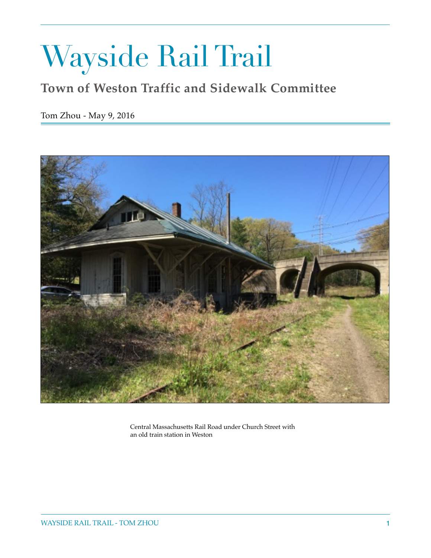# Wayside Rail Trail

## **Town of Weston Traffic and Sidewalk Committee**

Tom Zhou - May 9, 2016



Central Massachusetts Rail Road under Church Street with an old train station in Weston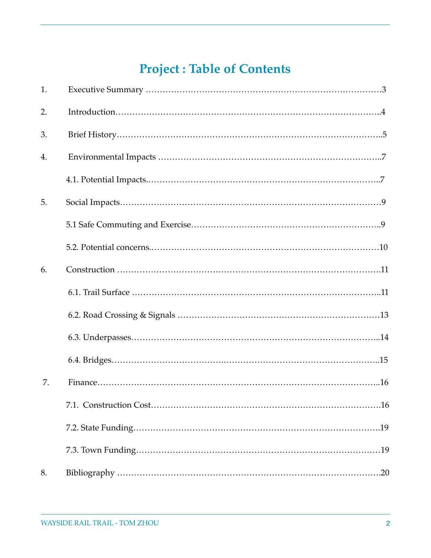# **Project : Table of Contents**

| 1. |  |
|----|--|
| 2. |  |
| 3. |  |
| 4. |  |
|    |  |
| 5. |  |
|    |  |
|    |  |
| 6. |  |
|    |  |
|    |  |
|    |  |
|    |  |
| 7. |  |
|    |  |
|    |  |
|    |  |
| 8. |  |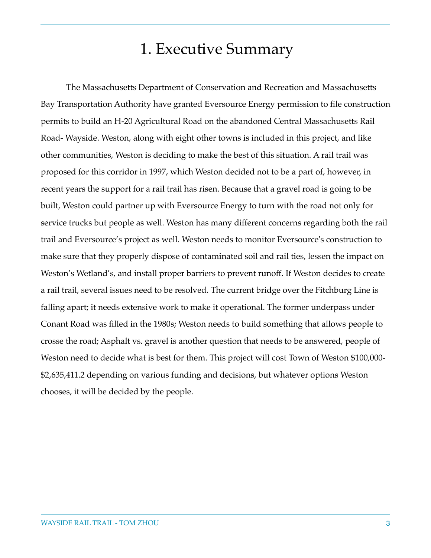# 1. Executive Summary

The Massachusetts Department of Conservation and Recreation and Massachusetts Bay Transportation Authority have granted Eversource Energy permission to file construction permits to build an H-20 Agricultural Road on the abandoned Central Massachusetts Rail Road- Wayside. Weston, along with eight other towns is included in this project, and like other communities, Weston is deciding to make the best of this situation. A rail trail was proposed for this corridor in 1997, which Weston decided not to be a part of, however, in recent years the support for a rail trail has risen. Because that a gravel road is going to be built, Weston could partner up with Eversource Energy to turn with the road not only for service trucks but people as well. Weston has many different concerns regarding both the rail trail and Eversource's project as well. Weston needs to monitor Eversource's construction to make sure that they properly dispose of contaminated soil and rail ties, lessen the impact on Weston's Wetland's, and install proper barriers to prevent runoff. If Weston decides to create a rail trail, several issues need to be resolved. The current bridge over the Fitchburg Line is falling apart; it needs extensive work to make it operational. The former underpass under Conant Road was filled in the 1980s; Weston needs to build something that allows people to crosse the road; Asphalt vs. gravel is another question that needs to be answered, people of Weston need to decide what is best for them. This project will cost Town of Weston \$100,000- \$2,635,411.2 depending on various funding and decisions, but whatever options Weston chooses, it will be decided by the people.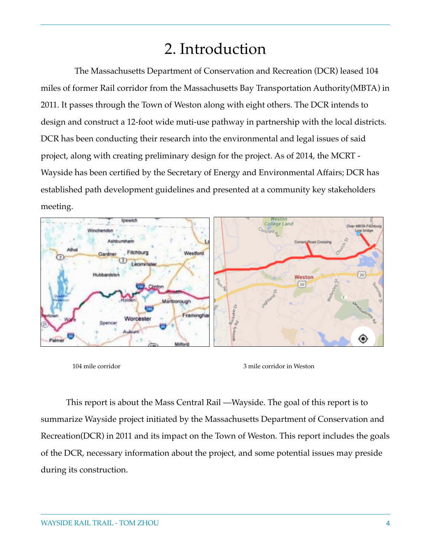# 2. Introduction

 The Massachusetts Department of Conservation and Recreation (DCR) leased 104 miles of former Rail corridor from the Massachusetts Bay Transportation Authority(MBTA) in 2011. It passes through the Town of Weston along with eight others. The DCR intends to design and construct a 12-foot wide muti-use pathway in partnership with the local districts. DCR has been conducting their research into the environmental and legal issues of said project, along with creating preliminary design for the project. As of 2014, the MCRT - Wayside has been certified by the Secretary of Energy and Environmental Affairs; DCR has established path development guidelines and presented at a community key stakeholders meeting.



This report is about the Mass Central Rail —Wayside. The goal of this report is to summarize Wayside project initiated by the Massachusetts Department of Conservation and Recreation(DCR) in 2011 and its impact on the Town of Weston. This report includes the goals of the DCR, necessary information about the project, and some potential issues may preside during its construction.

<sup>104</sup> mile corridor 3 mile corridor in Weston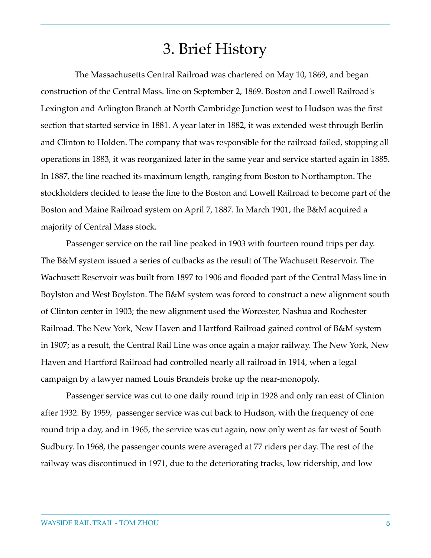# 3. Brief History

 The Massachusetts Central Railroad was chartered on May 10, 1869, and began construction of the Central Mass. line on September 2, 1869. Boston and Lowell Railroad's Lexington and Arlington Branch at North Cambridge Junction west to Hudson was the first section that started service in 1881. A year later in 1882, it was extended west through Berlin and Clinton to Holden. The company that was responsible for the railroad failed, stopping all operations in 1883, it was reorganized later in the same year and service started again in 1885. In 1887, the line reached its maximum length, ranging from Boston to Northampton. The stockholders decided to lease the line to the Boston and Lowell Railroad to become part of the Boston and Maine Railroad system on April 7, 1887. In March 1901, the B&M acquired a majority of Central Mass stock.

Passenger service on the rail line peaked in 1903 with fourteen round trips per day. The B&M system issued a series of cutbacks as the result of The Wachusett Reservoir. The Wachusett Reservoir was built from 1897 to 1906 and flooded part of the Central Mass line in Boylston and West Boylston. The B&M system was forced to construct a new alignment south of Clinton center in 1903; the new alignment used the Worcester, Nashua and Rochester Railroad. The New York, New Haven and Hartford Railroad gained control of B&M system in 1907; as a result, the Central Rail Line was once again a major railway. The New York, New Haven and Hartford Railroad had controlled nearly all railroad in 1914, when a legal campaign by a lawyer named Louis Brandeis broke up the near-monopoly.

Passenger service was cut to one daily round trip in 1928 and only ran east of Clinton after 1932. By 1959, passenger service was cut back to Hudson, with the frequency of one round trip a day, and in 1965, the service was cut again, now only went as far west of South Sudbury. In 1968, the passenger counts were averaged at 77 riders per day. The rest of the railway was discontinued in 1971, due to the deteriorating tracks, low ridership, and low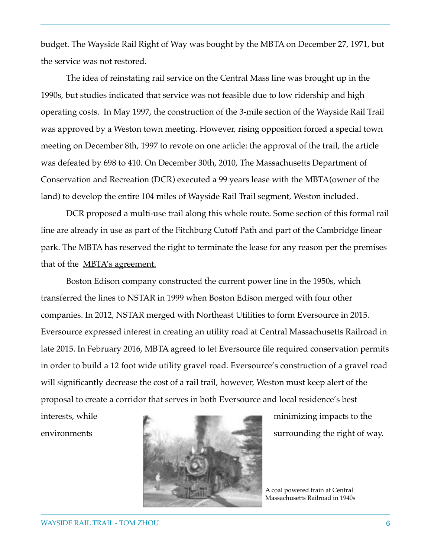budget. The Wayside Rail Right of Way was bought by the MBTA on December 27, 1971, but the service was not restored.

The idea of reinstating rail service on the Central Mass line was brought up in the 1990s, but studies indicated that service was not feasible due to low ridership and high operating costs. In May 1997, the construction of the 3-mile section of the Wayside Rail Trail was approved by a Weston town meeting. However, rising opposition forced a special town meeting on December 8th, 1997 to revote on one article: the approval of the trail, the article was defeated by 698 to 410. On December 30th, 2010, The Massachusetts Department of Conservation and Recreation (DCR) executed a 99 years lease with the MBTA(owner of the land) to develop the entire 104 miles of Wayside Rail Trail segment, Weston included.

DCR proposed a multi-use trail along this whole route. Some section of this formal rail line are already in use as part of the Fitchburg Cutoff Path and part of the Cambridge linear park. The MBTA has reserved the right to terminate the lease for any reason per the premises that of the [MBTA's agreement.](http://www.wayland.ma.us/Pages/WaylandMA_BComm/Rail/MBTALease.pdf)

Boston Edison company constructed the current power line in the 1950s, which transferred the lines to NSTAR in 1999 when Boston Edison merged with four other companies. In 2012, NSTAR merged with Northeast Utilities to form Eversource in 2015. Eversource expressed interest in creating an utility road at Central Massachusetts Railroad in late 2015. In February 2016, MBTA agreed to let Eversource file required conservation permits in order to build a 12 foot wide utility gravel road. Eversource's construction of a gravel road will significantly decrease the cost of a rail trail, however, Weston must keep alert of the proposal to create a corridor that serves in both Eversource and local residence's best



A coal powered train at Central Massachusetts Railroad in 1940s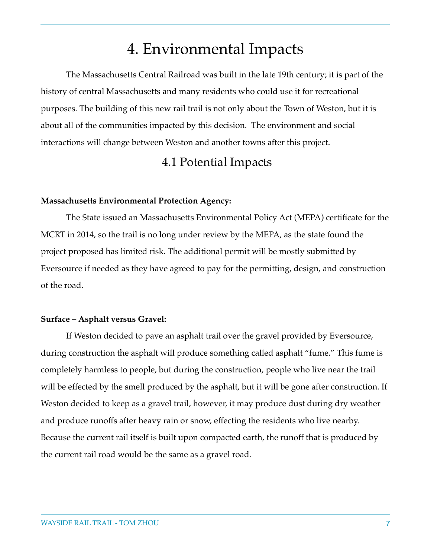# 4. Environmental Impacts

The Massachusetts Central Railroad was built in the late 19th century; it is part of the history of central Massachusetts and many residents who could use it for recreational purposes. The building of this new rail trail is not only about the Town of Weston, but it is about all of the communities impacted by this decision. The environment and social interactions will change between Weston and another towns after this project.

### 4.1 Potential Impacts

#### **Massachusetts Environmental Protection Agency:**

The State issued an Massachusetts Environmental Policy Act (MEPA) certificate for the MCRT in 2014, so the trail is no long under review by the MEPA, as the state found the project proposed has limited risk. The additional permit will be mostly submitted by Eversource if needed as they have agreed to pay for the permitting, design, and construction of the road.

#### **Surface – Asphalt versus Gravel:**

If Weston decided to pave an asphalt trail over the gravel provided by Eversource, during construction the asphalt will produce something called asphalt "fume." This fume is completely harmless to people, but during the construction, people who live near the trail will be effected by the smell produced by the asphalt, but it will be gone after construction. If Weston decided to keep as a gravel trail, however, it may produce dust during dry weather and produce runoffs after heavy rain or snow, effecting the residents who live nearby. Because the current rail itself is built upon compacted earth, the runoff that is produced by the current rail road would be the same as a gravel road.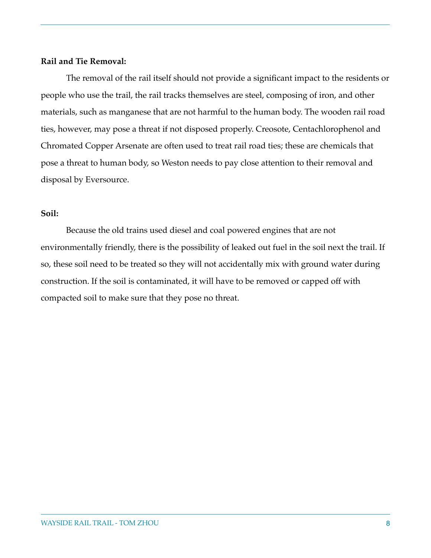### **Rail and Tie Removal:**

The removal of the rail itself should not provide a significant impact to the residents or people who use the trail, the rail tracks themselves are steel, composing of iron, and other materials, such as manganese that are not harmful to the human body. The wooden rail road ties, however, may pose a threat if not disposed properly. Creosote, Centachlorophenol and Chromated Copper Arsenate are often used to treat rail road ties; these are chemicals that pose a threat to human body, so Weston needs to pay close attention to their removal and disposal by Eversource.

### **Soil:**

Because the old trains used diesel and coal powered engines that are not environmentally friendly, there is the possibility of leaked out fuel in the soil next the trail. If so, these soil need to be treated so they will not accidentally mix with ground water during construction. If the soil is contaminated, it will have to be removed or capped off with compacted soil to make sure that they pose no threat.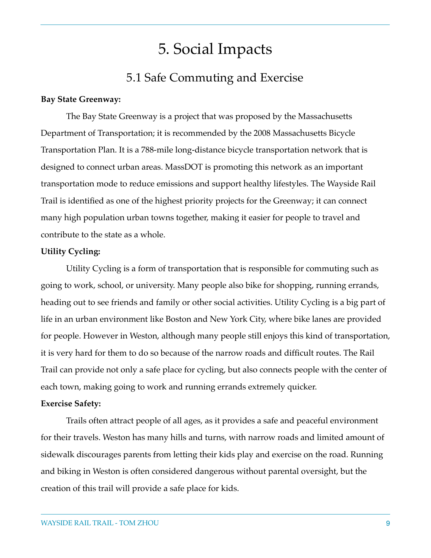# 5. Social Impacts

### 5.1 Safe Commuting and Exercise

#### **Bay State Greenway:**

The Bay State Greenway is a project that was proposed by the Massachusetts Department of Transportation; it is recommended by the 2008 Massachusetts Bicycle Transportation Plan. It is a 788-mile long-distance bicycle transportation network that is designed to connect urban areas. MassDOT is promoting this network as an important transportation mode to reduce emissions and support healthy lifestyles. The Wayside Rail Trail is identified as one of the highest priority projects for the Greenway; it can connect many high population urban towns together, making it easier for people to travel and contribute to the state as a whole.

#### **Utility Cycling:**

Utility Cycling is a form of transportation that is responsible for commuting such as going to work, school, or university. Many people also bike for shopping, running errands, heading out to see friends and family or other social activities. Utility Cycling is a big part of life in an urban environment like Boston and New York City, where bike lanes are provided for people. However in Weston, although many people still enjoys this kind of transportation, it is very hard for them to do so because of the narrow roads and difficult routes. The Rail Trail can provide not only a safe place for cycling, but also connects people with the center of each town, making going to work and running errands extremely quicker.

#### **Exercise Safety:**

Trails often attract people of all ages, as it provides a safe and peaceful environment for their travels. Weston has many hills and turns, with narrow roads and limited amount of sidewalk discourages parents from letting their kids play and exercise on the road. Running and biking in Weston is often considered dangerous without parental oversight, but the creation of this trail will provide a safe place for kids.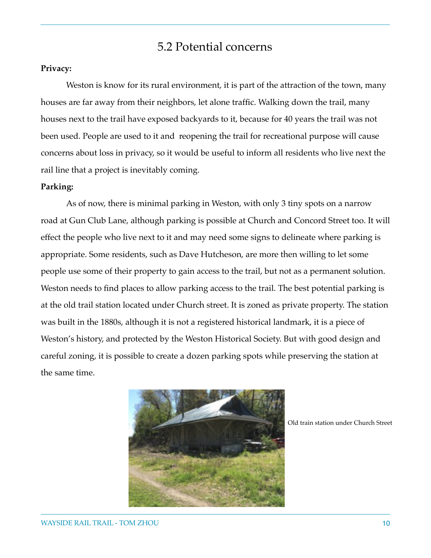### 5.2 Potential concerns

### **Privacy:**

Weston is know for its rural environment, it is part of the attraction of the town, many houses are far away from their neighbors, let alone traffic. Walking down the trail, many houses next to the trail have exposed backyards to it, because for 40 years the trail was not been used. People are used to it and reopening the trail for recreational purpose will cause concerns about loss in privacy, so it would be useful to inform all residents who live next the rail line that a project is inevitably coming.

#### **Parking:**

As of now, there is minimal parking in Weston, with only 3 tiny spots on a narrow road at Gun Club Lane, although parking is possible at Church and Concord Street too. It will effect the people who live next to it and may need some signs to delineate where parking is appropriate. Some residents, such as Dave Hutcheson, are more then willing to let some people use some of their property to gain access to the trail, but not as a permanent solution. Weston needs to find places to allow parking access to the trail. The best potential parking is at the old trail station located under Church street. It is zoned as private property. The station was built in the 1880s, although it is not a registered historical landmark, it is a piece of Weston's history, and protected by the Weston Historical Society. But with good design and careful zoning, it is possible to create a dozen parking spots while preserving the station at the same time.



Old train station under Church Street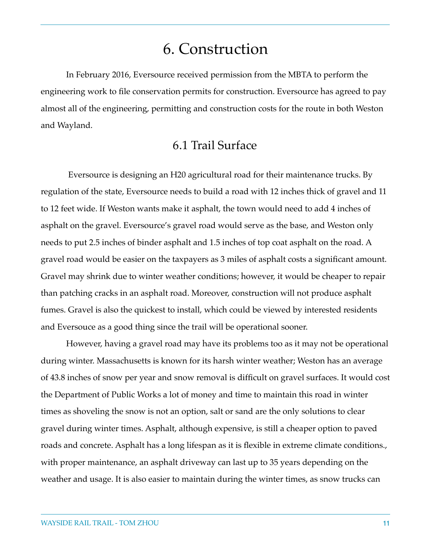# 6. Construction

In February 2016, Eversource received permission from the MBTA to perform the engineering work to file conservation permits for construction. Eversource has agreed to pay almost all of the engineering, permitting and construction costs for the route in both Weston and Wayland.

### 6.1 Trail Surface

 Eversource is designing an H20 agricultural road for their maintenance trucks. By regulation of the state, Eversource needs to build a road with 12 inches thick of gravel and 11 to 12 feet wide. If Weston wants make it asphalt, the town would need to add 4 inches of asphalt on the gravel. Eversource's gravel road would serve as the base, and Weston only needs to put 2.5 inches of binder asphalt and 1.5 inches of top coat asphalt on the road. A gravel road would be easier on the taxpayers as 3 miles of asphalt costs a significant amount. Gravel may shrink due to winter weather conditions; however, it would be cheaper to repair than patching cracks in an asphalt road. Moreover, construction will not produce asphalt fumes. Gravel is also the quickest to install, which could be viewed by interested residents and Eversouce as a good thing since the trail will be operational sooner.

However, having a gravel road may have its problems too as it may not be operational during winter. Massachusetts is known for its harsh winter weather; Weston has an average of 43.8 inches of snow per year and snow removal is difficult on gravel surfaces. It would cost the Department of Public Works a lot of money and time to maintain this road in winter times as shoveling the snow is not an option, salt or sand are the only solutions to clear gravel during winter times. Asphalt, although expensive, is still a cheaper option to paved roads and concrete. Asphalt has a long lifespan as it is flexible in extreme climate conditions., with proper maintenance, an asphalt driveway can last up to 35 years depending on the weather and usage. It is also easier to maintain during the winter times, as snow trucks can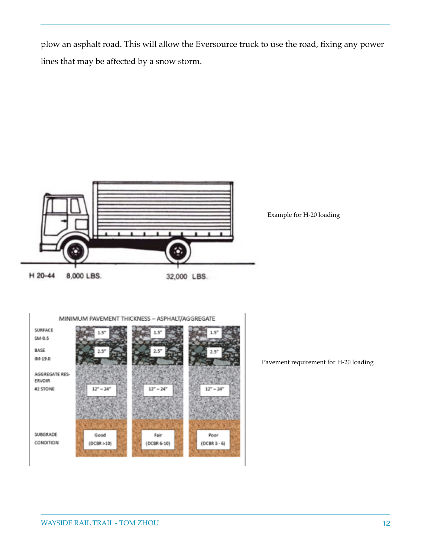plow an asphalt road. This will allow the Eversource truck to use the road, fixing any power lines that may be affected by a snow storm.



Example for H-20 loading



Pavement requirement for H-20 loading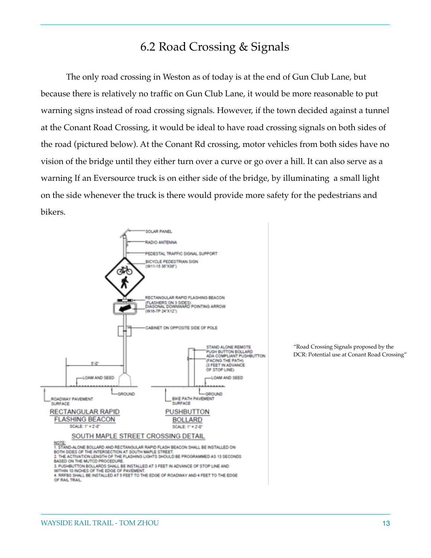### 6.2 Road Crossing & Signals

The only road crossing in Weston as of today is at the end of Gun Club Lane, but because there is relatively no traffic on Gun Club Lane, it would be more reasonable to put warning signs instead of road crossing signals. However, if the town decided against a tunnel at the Conant Road Crossing, it would be ideal to have road crossing signals on both sides of the road (pictured below). At the Conant Rd crossing, motor vehicles from both sides have no vision of the bridge until they either turn over a curve or go over a hill. It can also serve as a warning If an Eversource truck is on either side of the bridge, by illuminating a small light on the side whenever the truck is there would provide more safety for the pedestrians and bikers.



"Road Crossing Signals proposed by the DCR: Potential use at Conant Road Crossing"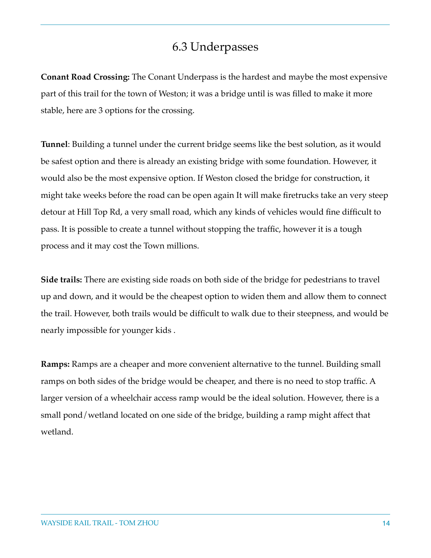### 6.3 Underpasses

**Conant Road Crossing:** The Conant Underpass is the hardest and maybe the most expensive part of this trail for the town of Weston; it was a bridge until is was filled to make it more stable, here are 3 options for the crossing.

**Tunnel**: Building a tunnel under the current bridge seems like the best solution, as it would be safest option and there is already an existing bridge with some foundation. However, it would also be the most expensive option. If Weston closed the bridge for construction, it might take weeks before the road can be open again It will make firetrucks take an very steep detour at Hill Top Rd, a very small road, which any kinds of vehicles would fine difficult to pass. It is possible to create a tunnel without stopping the traffic, however it is a tough process and it may cost the Town millions.

**Side trails:** There are existing side roads on both side of the bridge for pedestrians to travel up and down, and it would be the cheapest option to widen them and allow them to connect the trail. However, both trails would be difficult to walk due to their steepness, and would be nearly impossible for younger kids .

**Ramps:** Ramps are a cheaper and more convenient alternative to the tunnel. Building small ramps on both sides of the bridge would be cheaper, and there is no need to stop traffic. A larger version of a wheelchair access ramp would be the ideal solution. However, there is a small pond/wetland located on one side of the bridge, building a ramp might affect that wetland.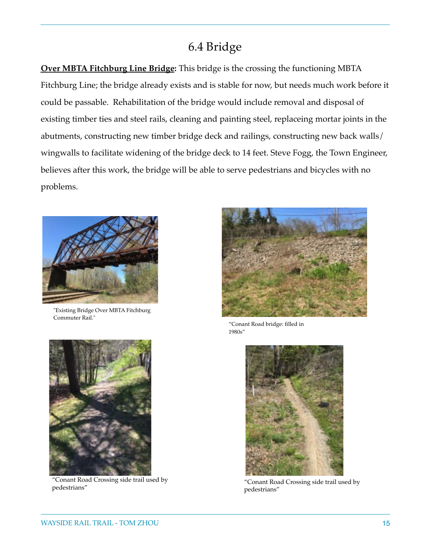### 6.4 Bridge

**[Over MBTA Fitchburg Line Bridge](http://www.mass.gov/eea/docs/dcr/projects/mcrt/mass-central-rail-trail-evaluation-of-existing-bridges-rev1.pdf):** This bridge is the crossing the functioning MBTA Fitchburg Line; the bridge already exists and is stable for now, but needs much work before it could be passable. Rehabilitation of the bridge would include removal and disposal of existing timber ties and steel rails, cleaning and painting steel, replaceing mortar joints in the abutments, constructing new timber bridge deck and railings, constructing new back walls/ wingwalls to facilitate widening of the bridge deck to 14 feet. Steve Fogg, the Town Engineer, believes after this work, the bridge will be able to serve pedestrians and bicycles with no problems.



"Existing Bridge Over MBTA Fitchburg Commuter Rail."



"Conant Road Crossing side trail used by



"Conant Road bridge: filled in 1980s"



" Conant Road Crossing side trail used by pedestrians"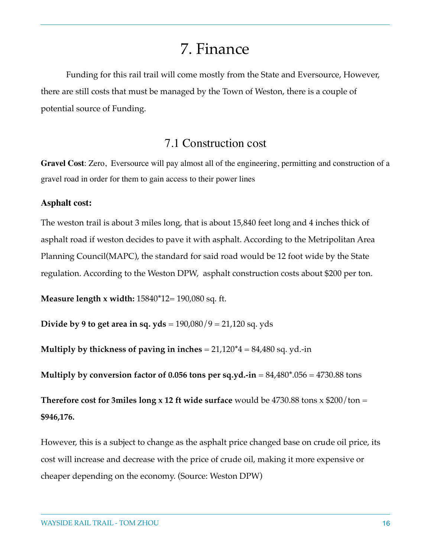# 7. Finance

Funding for this rail trail will come mostly from the State and Eversource, However, there are still costs that must be managed by the Town of Weston, there is a couple of potential source of Funding.

### 7.1 Construction cost

**Gravel Cost**: Zero, Eversource will pay almost all of the engineering, permitting and construction of a gravel road in order for them to gain access to their power lines

### **Asphalt cost:**

The weston trail is about 3 miles long, that is about 15,840 feet long and 4 inches thick of asphalt road if weston decides to pave it with asphalt. According to the Metripolitan Area Planning Council(MAPC), the standard for said road would be 12 foot wide by the State regulation. According to the Weston DPW, asphalt construction costs about \$200 per ton.

**Measure length x width:** 15840\*12= 190,080 sq. ft.

**Divide by 9 to get area in sq. yds** = 190,080/9 = 21,120 sq. yds

**Multiply by thickness of paving in inches** = 21,120\*4 = 84,480 sq. yd.-in

**Multiply by conversion factor of 0.056 tons per sq.yd.-in** = 84,480\*.056 = 4730.88 tons

**Therefore cost for 3miles long x 12 ft wide surface** would be 4730.88 tons x  $$200/t$ on = **\$946,176.**

However, this is a subject to change as the asphalt price changed base on crude oil price, its cost will increase and decrease with the price of crude oil, making it more expensive or cheaper depending on the economy. (Source: Weston DPW)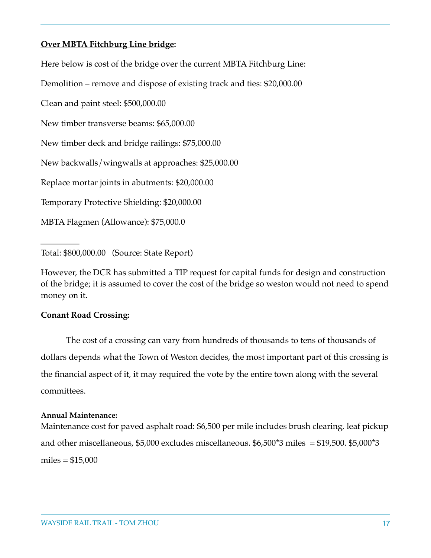### **[Over MBTA Fitchburg Line bridge](http://www.mass.gov/eea/docs/dcr/projects/mcrt/mass-central-rail-trail-evaluation-of-existing-bridges-rev1.pdf):**

Here below is cost of the bridge over the current MBTA Fitchburg Line:

Demolition – remove and dispose of existing track and ties: \$20,000.00

Clean and paint steel: \$500,000.00

New timber transverse beams: \$65,000.00

New timber deck and bridge railings: \$75,000.00

New backwalls/wingwalls at approaches: \$25,000.00

Replace mortar joints in abutments: \$20,000.00

Temporary Protective Shielding: \$20,000.00

MBTA Flagmen (Allowance): \$75,000.0

Total: \$800,000.00 (Source: State Report)

However, the DCR has submitted a TIP request for capital funds for design and construction of the bridge; it is assumed to cover the cost of the bridge so weston would not need to spend money on it.

### **Conant Road Crossing:**

The cost of a crossing can vary from hundreds of thousands to tens of thousands of dollars depends what the Town of Weston decides, the most important part of this crossing is the financial aspect of it, it may required the vote by the entire town along with the several committees.

#### **Annual Maintenance:**

Maintenance cost for paved asphalt road: \$6,500 per mile includes brush clearing, leaf pickup and other miscellaneous,  $$5,000$  excludes miscellaneous.  $$6,500^*3$  miles =  $$19,500$ .  $$5,000^*3$ miles  $= $15,000$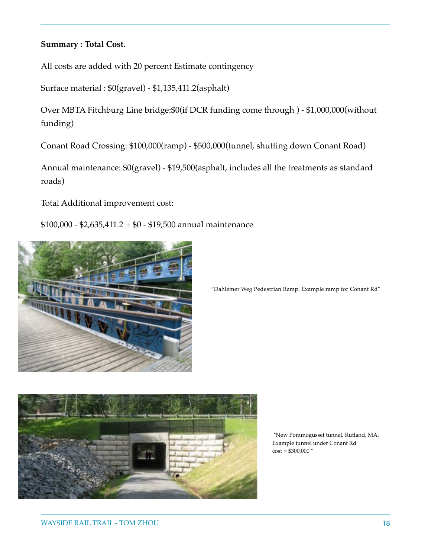### **Summary : Total Cost.**

All costs are added with 20 percent Estimate contingency

Surface material : \$0(gravel) - \$1,135,411.2(asphalt)

Over MBTA Fitchburg Line bridge:\$0(if DCR funding come through ) - \$1,000,000(without funding)

Conant Road Crossing: \$100,000(ramp) - \$500,000(tunnel, shutting down Conant Road)

Annual maintenance: \$0(gravel) - \$19,500(asphalt, includes all the treatments as standard roads)

Total Additional improvement cost:

\$100,000 - \$2,635,411.2 + \$0 - \$19,500 annual maintenance



"Dahlemer Weg Pedestrian Ramp. Example ramp for Conant Rd"



 "New Pommogusset tunnel, Rutland, MA. Example tunnel under Conant Rd  $cost = $300,000$  "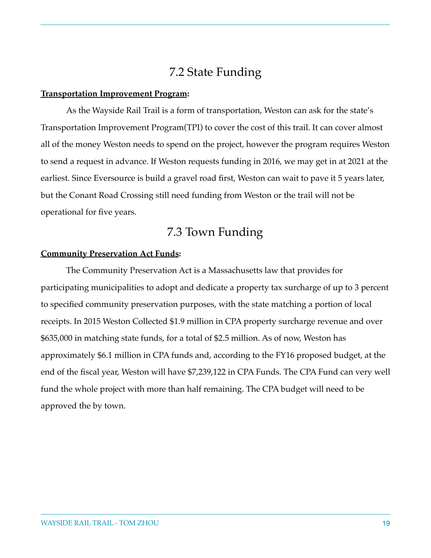### 7.2 State Funding

#### **[Transportation Improvement Program](https://www.massdot.state.ma.us/planning/Main/StatewidePlans/StateTransportationImprovementProgram.aspx):**

 As the Wayside Rail Trail is a form of transportation, Weston can ask for the state's Transportation Improvement Program(TPI) to cover the cost of this trail. It can cover almost all of the money Weston needs to spend on the project, however the program requires Weston to send a request in advance. If Weston requests funding in 2016, we may get in at 2021 at the earliest. Since Eversource is build a gravel road first, Weston can wait to pave it 5 years later, but the Conant Road Crossing still need funding from Weston or the trail will not be operational for five years.

### 7.3 Town Funding

### **[Community Preservation Act Funds](http://www.weston.org/595/Community-Preservation-Act-Funds):**

The Community Preservation Act is a Massachusetts law that provides for participating municipalities to adopt and dedicate a property tax surcharge of up to 3 percent to specified community preservation purposes, with the state matching a portion of local receipts. In 2015 Weston Collected \$1.9 million in CPA property surcharge revenue and over \$635,000 in matching state funds, for a total of \$2.5 million. As of now, Weston has approximately \$6.1 million in CPA funds and, according to the FY16 proposed budget, at the end of the fiscal year, Weston will have \$7,239,122 in CPA Funds. The CPA Fund can very well fund the whole project with more than half remaining. The CPA budget will need to be approved the by town.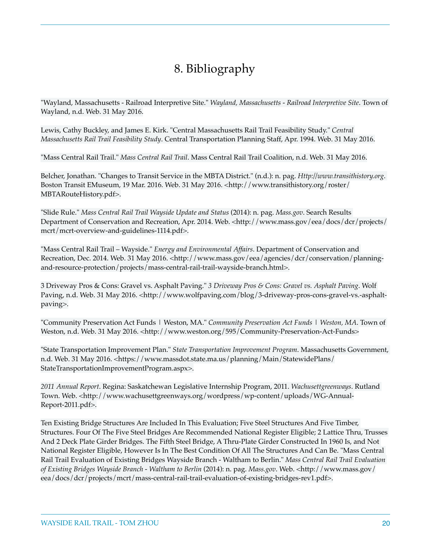# 8. Bibliography

"Wayland, Massachusetts - Railroad Interpretive Site." *Wayland, Massachusetts - Railroad Interpretive Site*. Town of Wayland, n.d. Web. 31 May 2016.

Lewis, Cathy Buckley, and James E. Kirk. "Central Massachusetts Rail Trail Feasibility Study." *Central Massachusetts Rail Trail Feasibility Study*. Central Transportation Planning Staff, Apr. 1994. Web. 31 May 2016.

"Mass Central Rail Trail." *Mass Central Rail Trail*. Mass Central Rail Trail Coalition, n.d. Web. 31 May 2016.

Belcher, Jonathan. "Changes to Transit Service in the MBTA District." (n.d.): n. pag. *Http://www.transithistory.org*. Boston Transit EMuseum, 19 Mar. 2016. Web. 31 May 2016. <http://www.transithistory.org/roster/ MBTARouteHistory.pdf>.

"Slide Rule." *Mass Central Rail Trail Wayside Update and Status* (2014): n. pag. *Mass.gov*. Search Results Department of Conservation and Recreation, Apr. 2014. Web. <http://www.mass.gov/eea/docs/dcr/projects/ mcrt/mcrt-overview-and-guidelines-1114.pdf>.

"Mass Central Rail Trail – Wayside." *Energy and Environmental Affairs*. Department of Conservation and Recreation, Dec. 2014. Web. 31 May 2016. <http://www.mass.gov/eea/agencies/dcr/conservation/planningand-resource-protection/projects/mass-central-rail-trail-wayside-branch.html>.

3 Driveway Pros & Cons: Gravel vs. Asphalt Paving." *3 Driveway Pros & Cons: Gravel vs. Asphalt Paving*. Wolf Paving, n.d. Web. 31 May 2016. <http://www.wolfpaving.com/blog/3-driveway-pros-cons-gravel-vs.-asphaltpaving>.

"Community Preservation Act Funds | Weston, MA." *Community Preservation Act Funds | Weston, MA*. Town of Weston, n.d. Web. 31 May 2016. <http://www.weston.org/595/Community-Preservation-Act-Funds>

"State Transportation Improvement Plan." *State Transportation Improvement Program*. Massachusetts Government, n.d. Web. 31 May 2016. <https://www.massdot.state.ma.us/planning/Main/StatewidePlans/ StateTransportationImprovementProgram.aspx>.

*2011 Annual Report*. Regina: Saskatchewan Legislative Internship Program, 2011. *Wachusettgreenways*. Rutland Town. Web. <http://www.wachusettgreenways.org/wordpress/wp-content/uploads/WG-Annual-Report-2011.pdf>.

Ten Existing Bridge Structures Are Included In This Evaluation; Five Steel Structures And Five Timber, Structures. Four Of The Five Steel Bridges Are Recommended National Register Eligible; 2 Lattice Thru, Trusses And 2 Deck Plate Girder Bridges. The Fifth Steel Bridge, A Thru-Plate Girder Constructed In 1960 Is, and Not National Register Eligible, However Is In The Best Condition Of All The Structures And Can Be. "Mass Central Rail Trail Evaluation of Existing Bridges Wayside Branch - Waltham to Berlin." *Mass Central Rail Trail Evaluation of Existing Bridges Wayside Branch - Waltham to Berlin* (2014): n. pag. *Mass.gov*. Web. <http://www.mass.gov/ eea/docs/dcr/projects/mcrt/mass-central-rail-trail-evaluation-of-existing-bridges-rev1.pdf>.